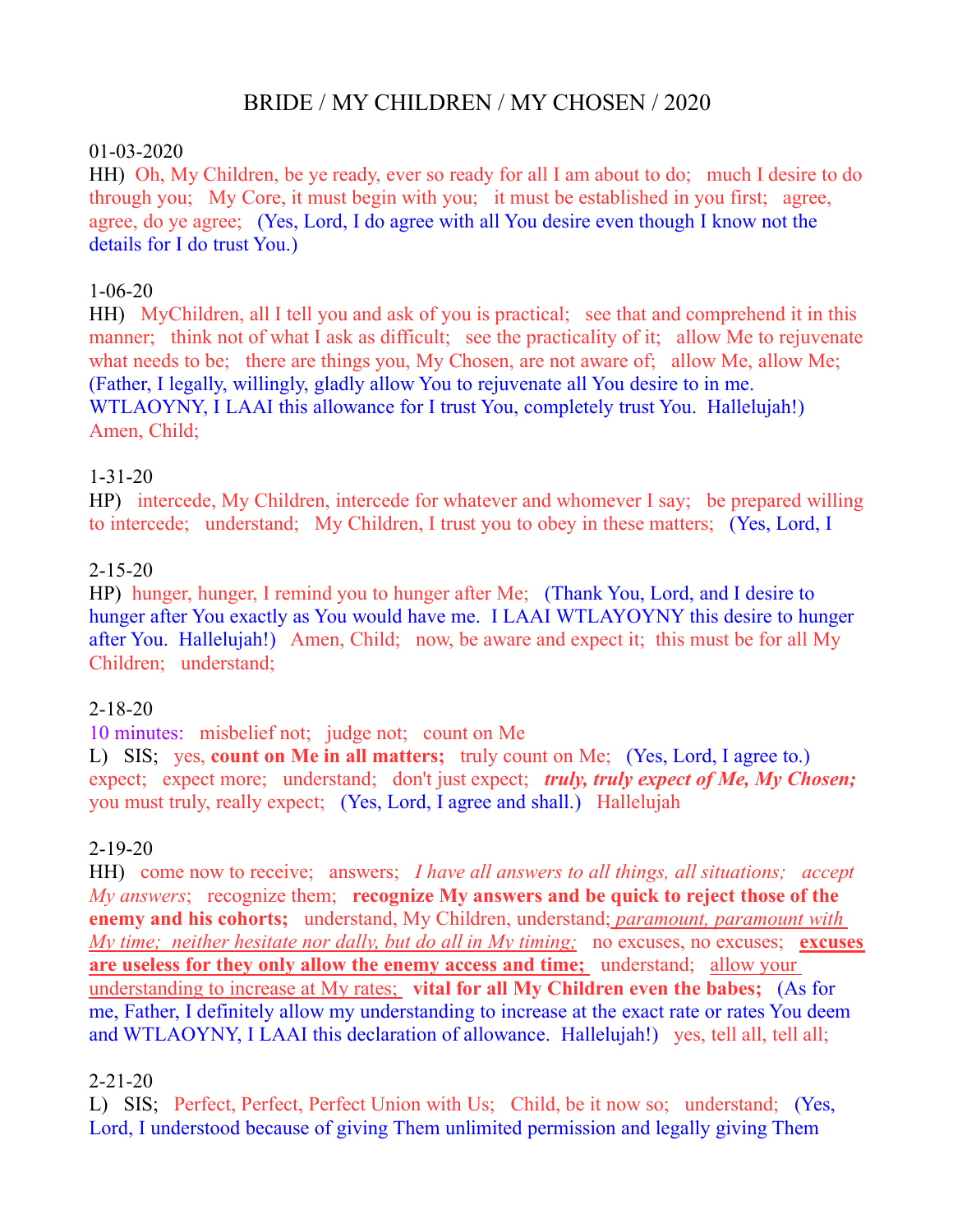# BRIDE / MY CHILDREN / MY CHOSEN / 2020

#### 01-03-2020

HH) Oh, My Children, be ye ready, ever so ready for all I am about to do; much I desire to do through you; My Core, it must begin with you; it must be established in you first; agree, agree, do ye agree; (Yes, Lord, I do agree with all You desire even though I know not the details for I do trust You.)

#### 1-06-20

HH) MyChildren, all I tell you and ask of you is practical; see that and comprehend it in this manner; think not of what I ask as difficult; see the practicality of it; allow Me to rejuvenate what needs to be; there are things you, My Chosen, are not aware of; allow Me, allow Me; (Father, I legally, willingly, gladly allow You to rejuvenate all You desire to in me. WTLAOYNY, I LAAI this allowance for I trust You, completely trust You. Hallelujah!) Amen, Child;

#### 1-31-20

HP) intercede, My Children, intercede for whatever and whomever I say; be prepared willing to intercede; understand; My Children, I trust you to obey in these matters; (Yes, Lord, I

#### 2-15-20

HP) hunger, hunger, I remind you to hunger after Me; (Thank You, Lord, and I desire to hunger after You exactly as You would have me. I LAAI WTLAYOYNY this desire to hunger after You. Hallelujah!) Amen, Child; now, be aware and expect it; this must be for all My Children; understand;

### 2-18-20

10 minutes: misbelief not; judge not; count on Me

L) SIS; yes, **count on Me in all matters;** truly count on Me; (Yes, Lord, I agree to.) expect; expect more; understand; don't just expect; *truly, truly expect of Me, My Chosen*; you must truly, really expect; (Yes, Lord, I agree and shall.) Hallelujah

#### 2-19-20

HH) come now to receive; answers; *I have all answers to all things, all situations; accept My answers*; recognize them; **recognize My answers and be quick to reject those of the enemy and his cohorts;** understand, My Children, understand; *paramount, paramount with My time; neither hesitate nor dally, but do all in My timing;* no excuses, no excuses; **excuses are useless for they only allow the enemy access and time;** understand; allow your understanding to increase at My rates; **vital for all My Children even the babes;** (As for me, Father, I definitely allow my understanding to increase at the exact rate or rates You deem and WTLAOYNY, I LAAI this declaration of allowance. Hallelujah!) yes, tell all, tell all;

### 2-21-20

L) SIS; Perfect, Perfect, Perfect Union with Us; Child, be it now so; understand; (Yes, Lord, I understood because of giving Them unlimited permission and legally giving Them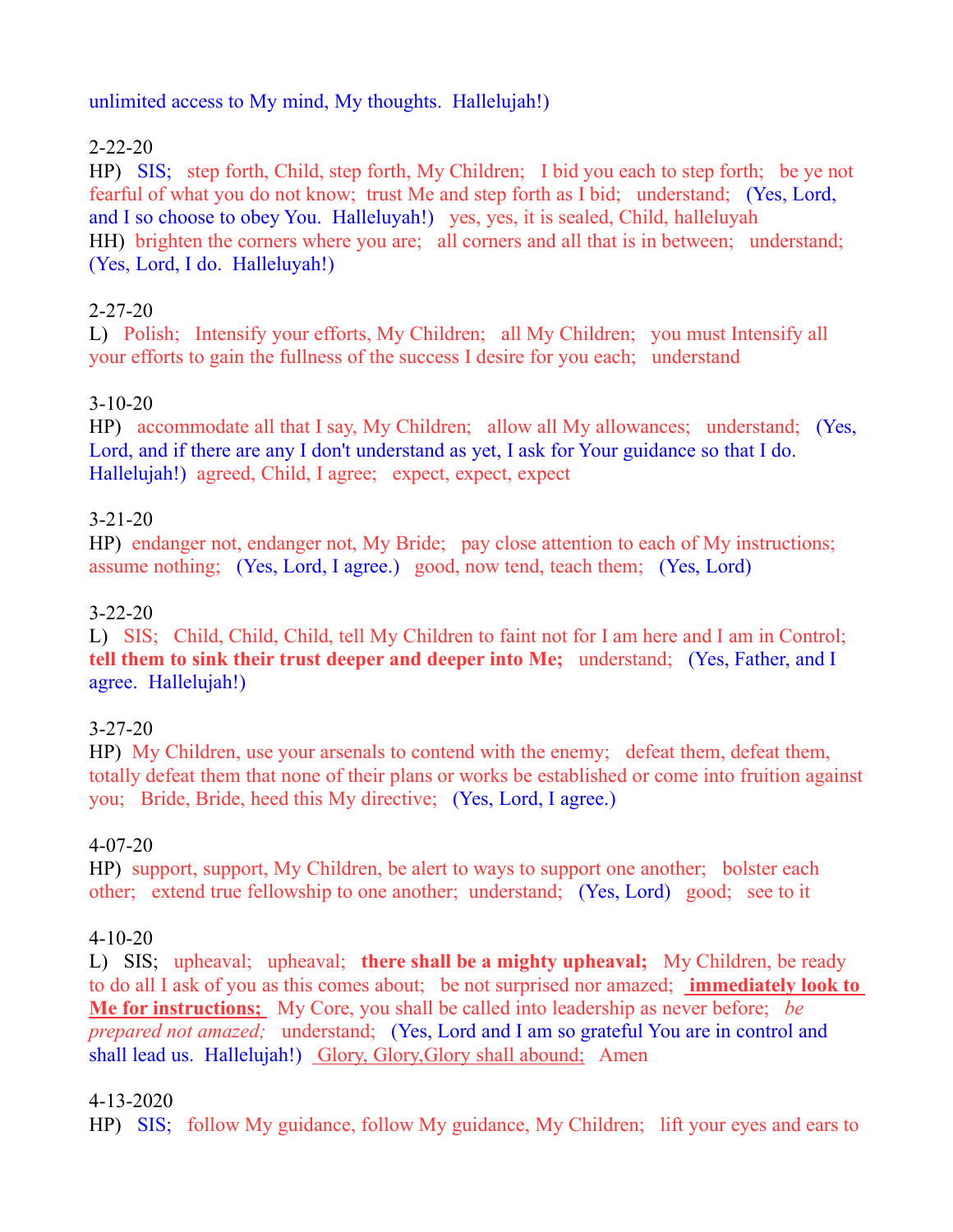#### unlimited access to My mind, My thoughts. Hallelujah!)

### 2-22-20

HP) SIS; step forth, Child, step forth, My Children; I bid you each to step forth; be ye not fearful of what you do not know; trust Me and step forth as I bid; understand; (Yes, Lord, and I so choose to obey You. Halleluyah!) yes, yes, it is sealed, Child, halleluyah HH) brighten the corners where you are; all corners and all that is in between; understand; (Yes, Lord, I do. Halleluyah!)

## 2-27-20

L) Polish; Intensify your efforts, My Children; all My Children; you must Intensify all your efforts to gain the fullness of the success I desire for you each; understand

## 3-10-20

HP) accommodate all that I say, My Children; allow all My allowances; understand; (Yes, Lord, and if there are any I don't understand as yet, I ask for Your guidance so that I do. Hallelujah!) agreed, Child, I agree; expect, expect, expect

### 3-21-20

HP) endanger not, endanger not, My Bride; pay close attention to each of My instructions; assume nothing; (Yes, Lord, I agree.) good, now tend, teach them; (Yes, Lord)

## 3-22-20

L) SIS; Child, Child, Child, tell My Children to faint not for I am here and I am in Control; **tell them to sink their trust deeper and deeper into Me;** understand; (Yes, Father, and I agree. Hallelujah!)

### 3-27-20

HP) My Children, use your arsenals to contend with the enemy; defeat them, defeat them, totally defeat them that none of their plans or works be established or come into fruition against you; Bride, Bride, heed this My directive; (Yes, Lord, I agree.)

### 4-07-20

HP) support, support, My Children, be alert to ways to support one another; bolster each other; extend true fellowship to one another; understand; (Yes, Lord) good; see to it

### 4-10-20

L) SIS; upheaval; upheaval; **there shall be a mighty upheaval;** My Children, be ready to do all I ask of you as this comes about; be not surprised nor amazed; **immediately look to Me for instructions;** My Core, you shall be called into leadership as never before; *be prepared not amazed;* understand; (Yes, Lord and I am so grateful You are in control and shall lead us. Hallelujah!) Glory, Glory, Glory shall abound; Amen

### 4-13-2020

HP) SIS; follow My guidance, follow My guidance, My Children; lift your eyes and ears to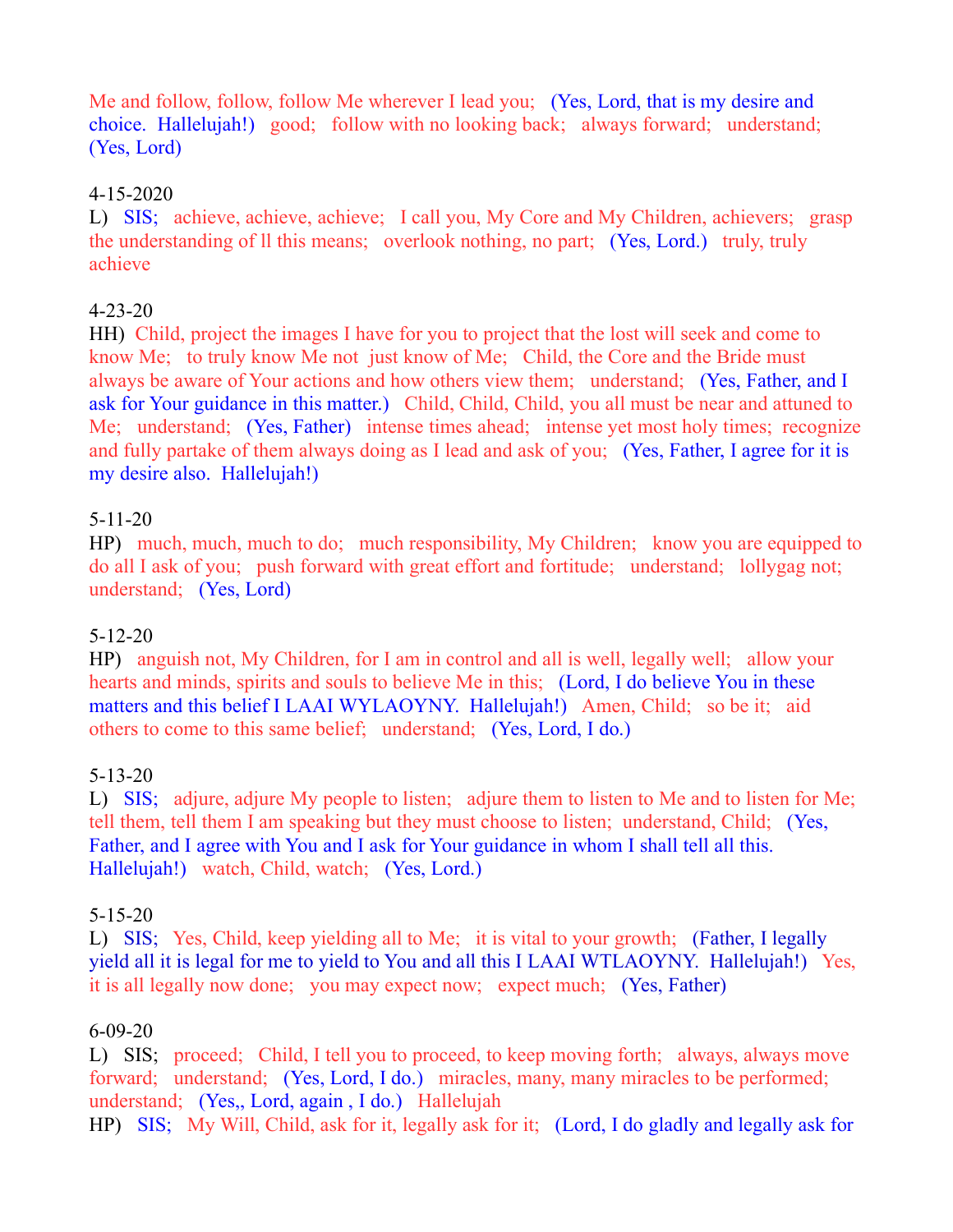Me and follow, follow, follow Me wherever I lead you; (Yes, Lord, that is my desire and choice. Hallelujah!) good; follow with no looking back; always forward; understand; (Yes, Lord)

### 4-15-2020

L) SIS; achieve, achieve, achieve; I call you, My Core and My Children, achievers; grasp the understanding of ll this means; overlook nothing, no part; (Yes, Lord.) truly, truly achieve

### 4-23-20

HH) Child, project the images I have for you to project that the lost will seek and come to know Me; to truly know Me not just know of Me; Child, the Core and the Bride must always be aware of Your actions and how others view them; understand; (Yes, Father, and I ask for Your guidance in this matter.) Child, Child, Child, you all must be near and attuned to Me; understand; (Yes, Father) intense times ahead; intense yet most holy times; recognize and fully partake of them always doing as I lead and ask of you; (Yes, Father, I agree for it is my desire also. Hallelujah!)

### 5-11-20

HP) much, much, much to do; much responsibility, My Children; know you are equipped to do all I ask of you; push forward with great effort and fortitude; understand; lollygag not; understand; (Yes, Lord)

### 5-12-20

HP) anguish not, My Children, for I am in control and all is well, legally well; allow your hearts and minds, spirits and souls to believe Me in this; (Lord, I do believe You in these matters and this belief I LAAI WYLAOYNY. Hallelujah!) Amen, Child; so be it; aid others to come to this same belief; understand; (Yes, Lord, I do.)

### 5-13-20

L) SIS; adjure, adjure My people to listen; adjure them to listen to Me and to listen for Me; tell them, tell them I am speaking but they must choose to listen; understand, Child; (Yes, Father, and I agree with You and I ask for Your guidance in whom I shall tell all this. Hallelujah!) watch, Child, watch; (Yes, Lord.)

### 5-15-20

L) SIS; Yes, Child, keep yielding all to Me; it is vital to your growth; (Father, I legally yield all it is legal for me to yield to You and all this I LAAI WTLAOYNY. Hallelujah!) Yes, it is all legally now done; you may expect now; expect much; (Yes, Father)

### 6-09-20

L) SIS; proceed; Child, I tell you to proceed, to keep moving forth; always, always move forward; understand; (Yes, Lord, I do.) miracles, many, many miracles to be performed; understand; (Yes,, Lord, again , I do.) Hallelujah HP) SIS; My Will, Child, ask for it, legally ask for it; (Lord, I do gladly and legally ask for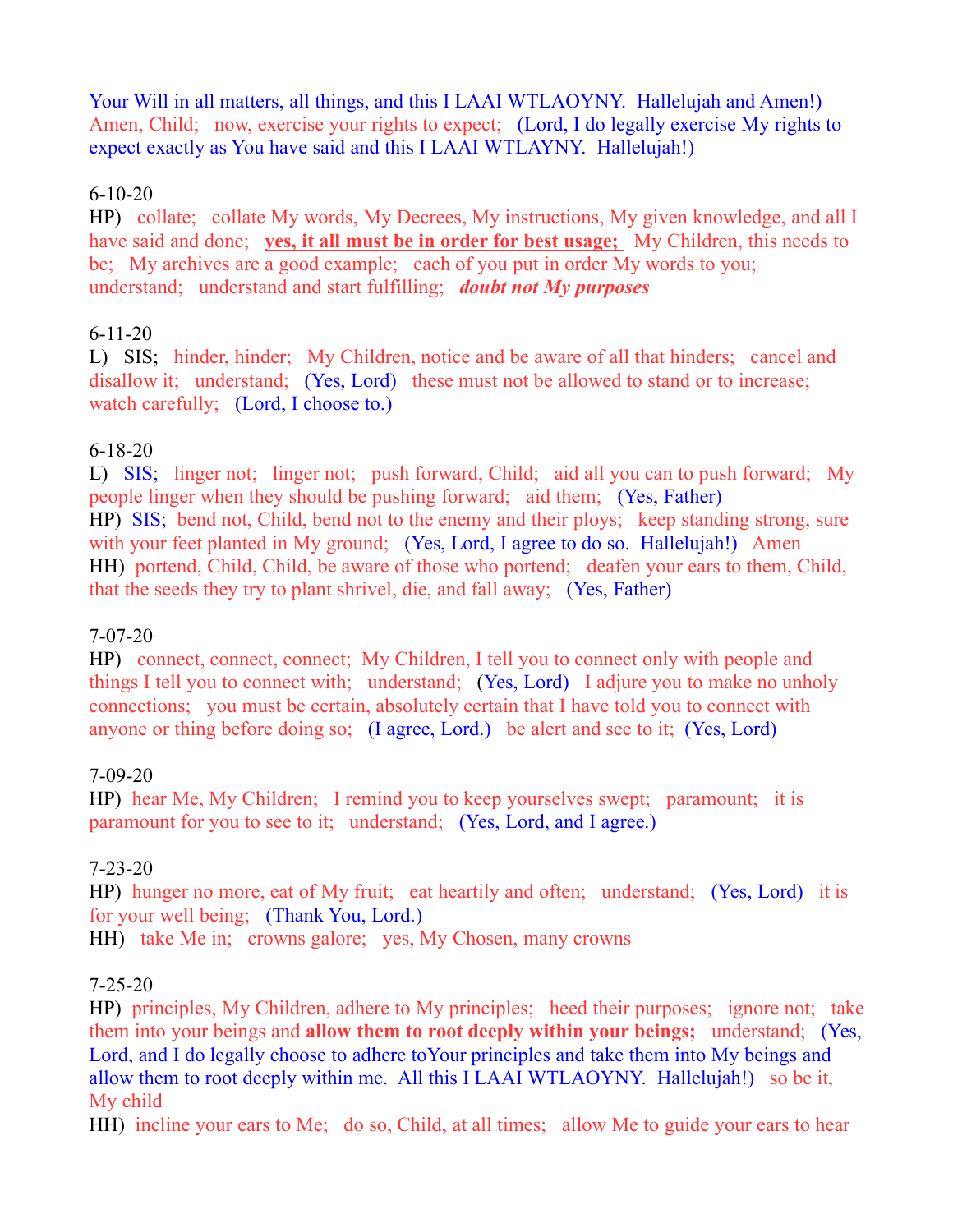Your Will in all matters, all things, and this I LAAI WTLAOYNY. Hallelujah and Amen!) Amen, Child; now, exercise your rights to expect; (Lord, I do legally exercise My rights to expect exactly as You have said and this I LAAI WTLAYNY. Hallelujah!)

#### 6-10-20

HP) collate; collate My words, My Decrees, My instructions, My given knowledge, and all I have said and done; **yes, it all must be in order for best usage;** My Children, this needs to be; My archives are a good example; each of you put in order My words to you; understand; understand and start fulfilling; *doubt not My purposes*

### 6-11-20

L) SIS; hinder, hinder; My Children, notice and be aware of all that hinders; cancel and disallow it; understand; (Yes, Lord) these must not be allowed to stand or to increase; watch carefully; (Lord, I choose to.)

### 6-18-20

L) SIS; linger not; linger not; push forward, Child; aid all you can to push forward; My people linger when they should be pushing forward; aid them; (Yes, Father) HP) SIS; bend not, Child, bend not to the enemy and their ploys; keep standing strong, sure with your feet planted in My ground; (Yes, Lord, I agree to do so. Hallelujah!) Amen HH) portend, Child, Child, be aware of those who portend; deafen your ears to them, Child, that the seeds they try to plant shrivel, die, and fall away; (Yes, Father)

#### 7-07-20

HP) connect, connect, connect; My Children, I tell you to connect only with people and things I tell you to connect with; understand; (Yes, Lord) I adjure you to make no unholy connections; you must be certain, absolutely certain that I have told you to connect with anyone or thing before doing so; (I agree, Lord.) be alert and see to it; (Yes, Lord)

### 7-09-20

HP) hear Me, My Children; I remind you to keep yourselves swept; paramount; it is paramount for you to see to it; understand; (Yes, Lord, and I agree.)

### 7-23-20

HP) hunger no more, eat of My fruit; eat heartily and often; understand; (Yes, Lord) it is for your well being; (Thank You, Lord.)

HH) take Me in; crowns galore; yes, My Chosen, many crowns

### 7-25-20

HP) principles, My Children, adhere to My principles; heed their purposes; ignore not; take them into your beings and **allow them to root deeply within your beings;** understand; (Yes, Lord, and I do legally choose to adhere toYour principles and take them into My beings and allow them to root deeply within me. All this I LAAI WTLAOYNY. Hallelujah!) so be it, My child

HH) incline your ears to Me; do so, Child, at all times; allow Me to guide your ears to hear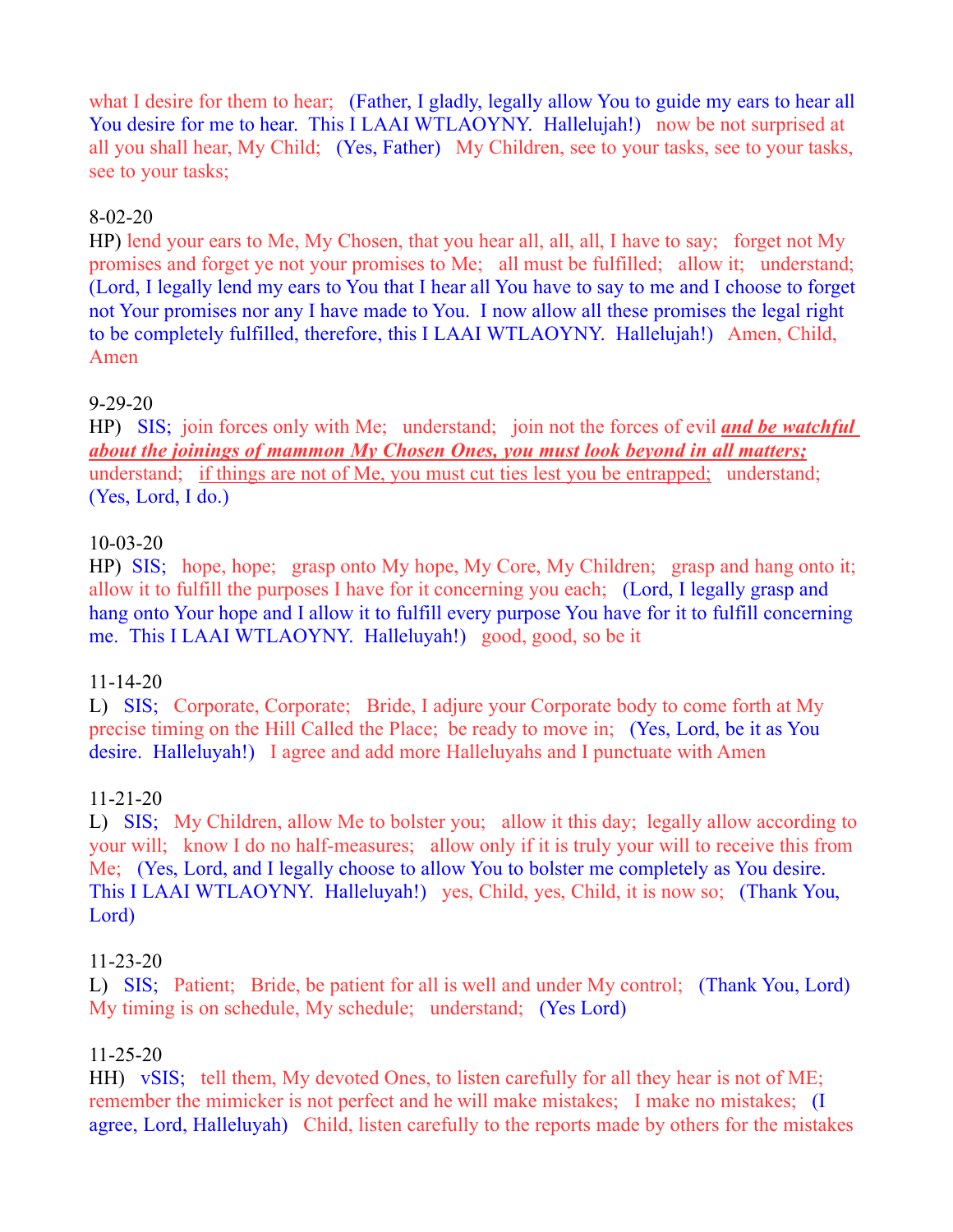what I desire for them to hear; (Father, I gladly, legally allow You to guide my ears to hear all You desire for me to hear. This I LAAI WTLAOYNY. Hallelujah!) now be not surprised at all you shall hear, My Child; (Yes, Father) My Children, see to your tasks, see to your tasks, see to your tasks;

#### 8-02-20

HP) lend your ears to Me, My Chosen, that you hear all, all, all, I have to say; forget not My promises and forget ye not your promises to Me; all must be fulfilled; allow it; understand; (Lord, I legally lend my ears to You that I hear all You have to say to me and I choose to forget not Your promises nor any I have made to You. I now allow all these promises the legal right to be completely fulfilled, therefore, this I LAAI WTLAOYNY. Hallelujah!) Amen, Child, Amen

#### 9-29-20

HP) SIS; join forces only with Me; understand; join not the forces of evil *and be watchful about the joinings of mammon My Chosen Ones, you must look beyond in all matters;* understand; if things are not of Me, you must cut ties lest you be entrapped; understand; (Yes, Lord, I do.)

#### 10-03-20

HP) SIS; hope, hope; grasp onto My hope, My Core, My Children; grasp and hang onto it; allow it to fulfill the purposes I have for it concerning you each; (Lord, I legally grasp and hang onto Your hope and I allow it to fulfill every purpose You have for it to fulfill concerning me. This I LAAI WTLAOYNY. Halleluyah!) good, good, so be it

#### 11-14-20

L) SIS; Corporate, Corporate; Bride, I adjure your Corporate body to come forth at My precise timing on the Hill Called the Place; be ready to move in; (Yes, Lord, be it as You desire. Halleluyah!) I agree and add more Halleluyahs and I punctuate with Amen

### 11-21-20

L) SIS; My Children, allow Me to bolster you; allow it this day; legally allow according to your will; know I do no half-measures; allow only if it is truly your will to receive this from Me; (Yes, Lord, and I legally choose to allow You to bolster me completely as You desire. This I LAAI WTLAOYNY. Halleluyah!) yes, Child, yes, Child, it is now so; (Thank You, Lord)

#### 11-23-20

L) SIS; Patient; Bride, be patient for all is well and under My control; (Thank You, Lord) My timing is on schedule, My schedule; understand; (Yes Lord)

### 11-25-20

HH) vSIS; tell them, My devoted Ones, to listen carefully for all they hear is not of ME; remember the mimicker is not perfect and he will make mistakes; I make no mistakes; (I agree, Lord, Halleluyah) Child, listen carefully to the reports made by others for the mistakes